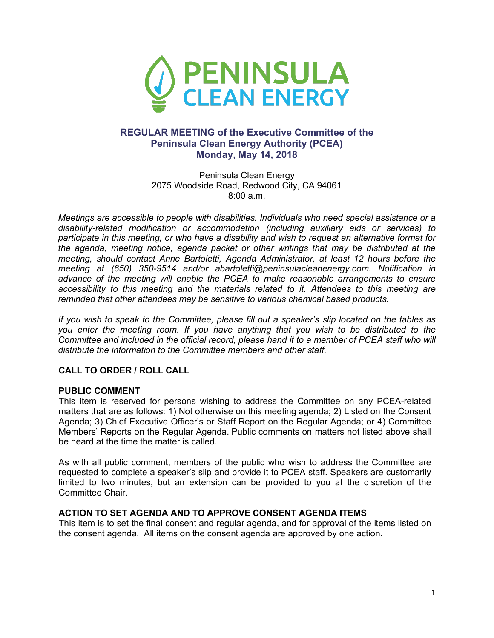

# **REGULAR MEETING of the Executive Committee of the Peninsula Clean Energy Authority (PCEA) Monday, May 14, 2018**

Peninsula Clean Energy 2075 Woodside Road, Redwood City, CA 94061 8:00 a.m.

*Meetings are accessible to people with disabilities. Individuals who need special assistance or a disability-related modification or accommodation (including auxiliary aids or services) to participate in this meeting, or who have a disability and wish to request an alternative format for the agenda, meeting notice, agenda packet or other writings that may be distributed at the meeting, should contact Anne Bartoletti, Agenda Administrator, at least 12 hours before the meeting at (650) 350-9514 and/or abartoletti@peninsulacleanenergy.com. Notification in advance of the meeting will enable the PCEA to make reasonable arrangements to ensure accessibility to this meeting and the materials related to it. Attendees to this meeting are reminded that other attendees may be sensitive to various chemical based products.*

*If you wish to speak to the Committee, please fill out a speaker's slip located on the tables as you enter the meeting room. If you have anything that you wish to be distributed to the Committee and included in the official record, please hand it to a member of PCEA staff who will distribute the information to the Committee members and other staff.*

### **CALL TO ORDER / ROLL CALL**

### **PUBLIC COMMENT**

This item is reserved for persons wishing to address the Committee on any PCEA-related matters that are as follows: 1) Not otherwise on this meeting agenda; 2) Listed on the Consent Agenda; 3) Chief Executive Officer's or Staff Report on the Regular Agenda; or 4) Committee Members' Reports on the Regular Agenda. Public comments on matters not listed above shall be heard at the time the matter is called.

As with all public comment, members of the public who wish to address the Committee are requested to complete a speaker's slip and provide it to PCEA staff. Speakers are customarily limited to two minutes, but an extension can be provided to you at the discretion of the Committee Chair.

#### **ACTION TO SET AGENDA AND TO APPROVE CONSENT AGENDA ITEMS**

This item is to set the final consent and regular agenda, and for approval of the items listed on the consent agenda. All items on the consent agenda are approved by one action.